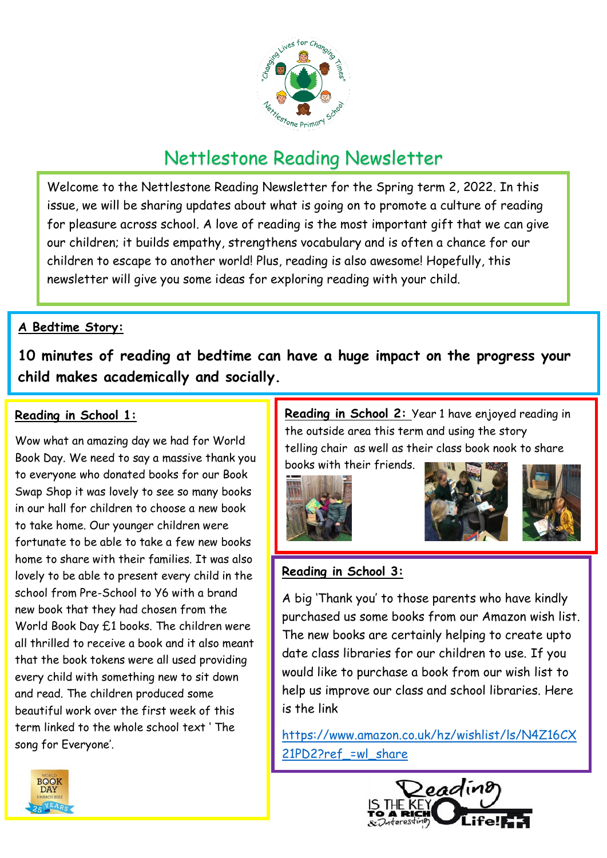

# Nettlestone Reading Newsletter

Welcome to the Nettlestone Reading Newsletter for the Spring term 2, 2022. In this issue, we will be sharing updates about what is going on to promote a culture of reading for pleasure across school. A love of reading is the most important gift that we can give our children; it builds empathy, strengthens vocabulary and is often a chance for our children to escape to another world! Plus, reading is also awesome! Hopefully, this newsletter will give you some ideas for exploring reading with your child.

## **A Bedtime Story:**

**10 minutes of reading at bedtime can have a huge impact on the progress your child makes academically and socially.** 

## **Reading in School 1:**

Wow what an amazing day we had for World Book Day. We need to say a massive thank you to everyone who donated books for our Book Swap Shop it was lovely to see so many books in our hall for children to choose a new book to take home. Our younger children were fortunate to be able to take a few new books home to share with their families. It was also lovely to be able to present every child in the school from Pre-School to Y6 with a brand new book that they had chosen from the World Book Day £1 books. The children were all thrilled to receive a book and it also meant that the book tokens were all used providing every child with something new to sit down and read. The children produced some beautiful work over the first week of this term linked to the whole school text ' The song for Everyone'.

**Reading in School 2:** Year 1 have enjoyed reading in the outside area this term and using the story telling chair as well as their class book nook to share

books with their friends.







## **Reading in School 3:**

A big 'Thank you' to those parents who have kindly purchased us some books from our Amazon wish list. The new books are certainly helping to create upto date class libraries for our children to use. If you would like to purchase a book from our wish list to help us improve our class and school libraries. Here is the link

[https://www.amazon.co.uk/hz/wishlist/ls/N4Z16CX](https://www.amazon.co.uk/hz/wishlist/ls/N4Z16CX21PD2?ref_=wl_share) [21PD2?ref\\_=wl\\_share](https://www.amazon.co.uk/hz/wishlist/ls/N4Z16CX21PD2?ref_=wl_share)



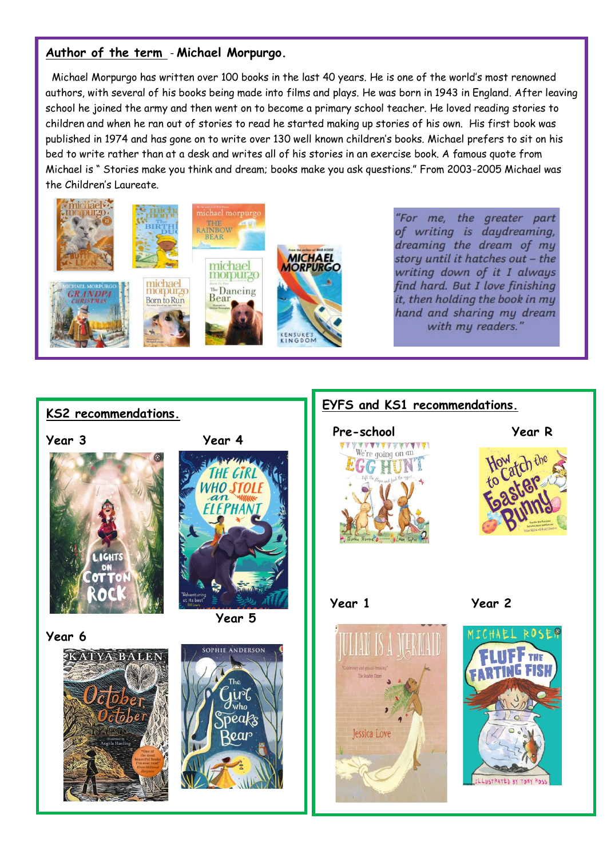#### **Author of the term** - **Michael Morpurgo.**

 Michael Morpurgo has written over 100 books in the last 40 years. He is one of the world's most renowned authors, with several of his books being made into films and plays. He was born in 1943 in England. After leaving school he joined the army and then went on to become a primary school teacher. He loved reading stories to children and when he ran out of stories to read he started making up stories of his own. His first book was published in 1974 and has gone on to write over 130 well known children's books. Michael prefers to sit on his bed to write rather than at a desk and writes all of his stories in an exercise book. A famous quote from Michael is " Stories make you think and dream; books make you ask questions." From 2003-2005 Michael was the Children's Laureate.



"For me, the greater part of writing is daydreaming, dreaming the dream of my story until it hatches out - the writing down of it I always find hard. But I love finishing it, then holding the book in my hand and sharing my dream with my readers.'